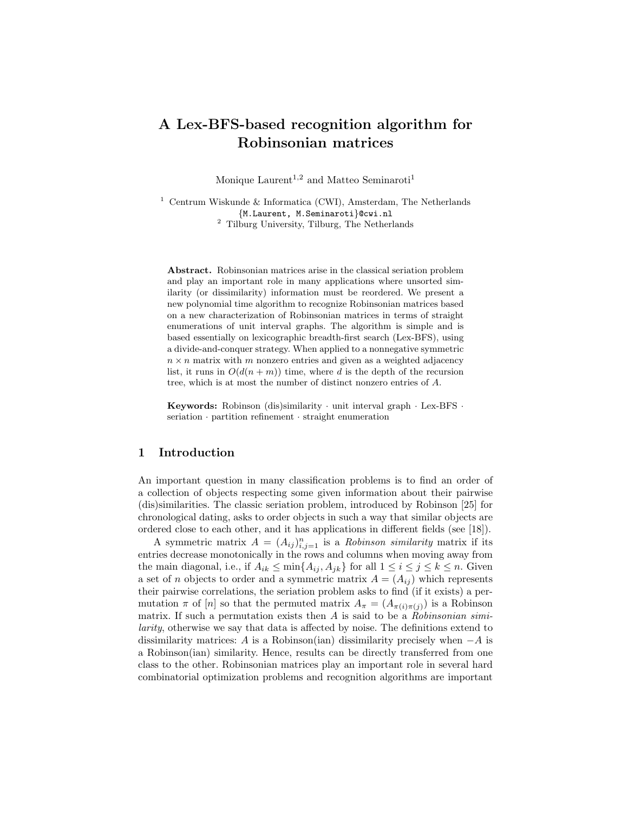# A Lex-BFS-based recognition algorithm for Robinsonian matrices

Monique Laurent<sup>1,2</sup> and Matteo Seminaroti<sup>1</sup>

<sup>1</sup> Centrum Wiskunde & Informatica (CWI), Amsterdam, The Netherlands {M.Laurent, M.Seminaroti}@cwi.nl <sup>2</sup> Tilburg University, Tilburg, The Netherlands

Abstract. Robinsonian matrices arise in the classical seriation problem and play an important role in many applications where unsorted similarity (or dissimilarity) information must be reordered. We present a new polynomial time algorithm to recognize Robinsonian matrices based on a new characterization of Robinsonian matrices in terms of straight enumerations of unit interval graphs. The algorithm is simple and is based essentially on lexicographic breadth-first search (Lex-BFS), using a divide-and-conquer strategy. When applied to a nonnegative symmetric  $n \times n$  matrix with m nonzero entries and given as a weighted adjacency list, it runs in  $O(d(n+m))$  time, where d is the depth of the recursion tree, which is at most the number of distinct nonzero entries of A.

Keywords: Robinson (dis)similarity · unit interval graph · Lex-BFS · seriation · partition refinement · straight enumeration

# 1 Introduction

An important question in many classification problems is to find an order of a collection of objects respecting some given information about their pairwise (dis)similarities. The classic seriation problem, introduced by Robinson [25] for chronological dating, asks to order objects in such a way that similar objects are ordered close to each other, and it has applications in different fields (see [18]).

A symmetric matrix  $A = (A_{ij})_{i,j=1}^n$  is a *Robinson similarity* matrix if its entries decrease monotonically in the rows and columns when moving away from the main diagonal, i.e., if  $A_{ik} \leq \min\{A_{ij}, A_{jk}\}\$ for all  $1 \leq i \leq j \leq k \leq n$ . Given a set of n objects to order and a symmetric matrix  $A = (A_{ij})$  which represents their pairwise correlations, the seriation problem asks to find (if it exists) a permutation  $\pi$  of  $[n]$  so that the permuted matrix  $A_{\pi} = (A_{\pi(i)\pi(j)})$  is a Robinson matrix. If such a permutation exists then  $A$  is said to be a *Robinsonian simi*larity, otherwise we say that data is affected by noise. The definitions extend to dissimilarity matrices: A is a Robinson(ian) dissimilarity precisely when  $-A$  is a Robinson(ian) similarity. Hence, results can be directly transferred from one class to the other. Robinsonian matrices play an important role in several hard combinatorial optimization problems and recognition algorithms are important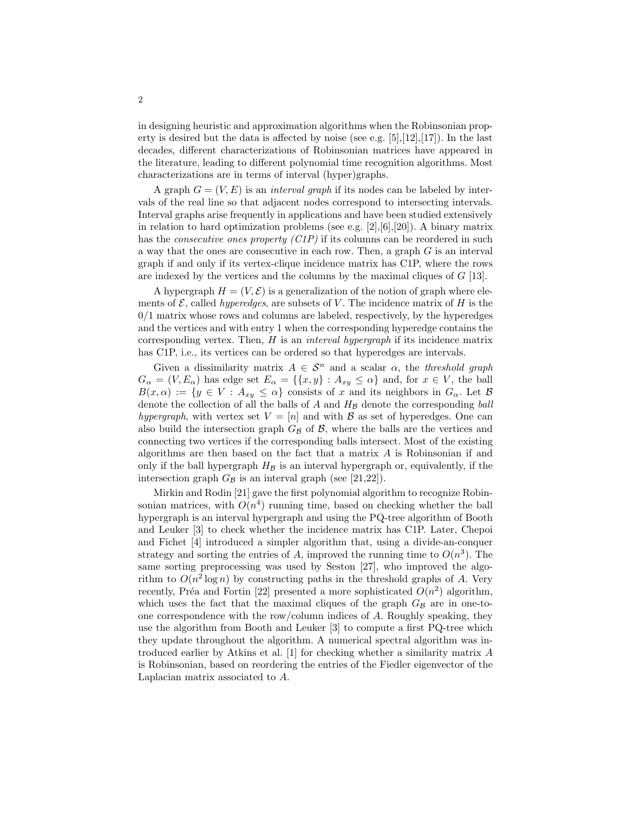in designing heuristic and approximation algorithms when the Robinsonian property is desired but the data is affected by noise (see e.g.  $[5],[12],[17]$ ). In the last decades, different characterizations of Robinsonian matrices have appeared in the literature, leading to different polynomial time recognition algorithms. Most characterizations are in terms of interval (hyper)graphs.

A graph  $G = (V, E)$  is an *interval graph* if its nodes can be labeled by intervals of the real line so that adjacent nodes correspond to intersecting intervals. Interval graphs arise frequently in applications and have been studied extensively in relation to hard optimization problems (see e.g.  $[2],[6],[20]$ ). A binary matrix has the *consecutive ones property (C1P)* if its columns can be reordered in such a way that the ones are consecutive in each row. Then, a graph G is an interval graph if and only if its vertex-clique incidence matrix has C1P, where the rows are indexed by the vertices and the columns by the maximal cliques of G [13].

A hypergraph  $H = (V, \mathcal{E})$  is a generalization of the notion of graph where elements of  $\mathcal{E}$ , called *hyperedges*, are subsets of V. The incidence matrix of H is the 0/1 matrix whose rows and columns are labeled, respectively, by the hyperedges and the vertices and with entry 1 when the corresponding hyperedge contains the corresponding vertex. Then,  $H$  is an *interval hypergraph* if its incidence matrix has C1P, i.e., its vertices can be ordered so that hyperedges are intervals.

Given a dissimilarity matrix  $A \in \mathcal{S}^n$  and a scalar  $\alpha$ , the threshold graph  $G_{\alpha} = (V, E_{\alpha})$  has edge set  $E_{\alpha} = \{\{x, y\} : A_{xy} \leq \alpha\}$  and, for  $x \in V$ , the ball  $B(x, \alpha) := \{y \in V : A_{xy} \leq \alpha\}$  consists of x and its neighbors in  $G_{\alpha}$ . Let B denote the collection of all the balls of  $A$  and  $H_B$  denote the corresponding ball hypergraph, with vertex set  $V = [n]$  and with  $\beta$  as set of hyperedges. One can also build the intersection graph  $G_{\mathcal{B}}$  of  $\mathcal{B}$ , where the balls are the vertices and connecting two vertices if the corresponding balls intersect. Most of the existing algorithms are then based on the fact that a matrix A is Robinsonian if and only if the ball hypergraph  $H_{\mathcal{B}}$  is an interval hypergraph or, equivalently, if the intersection graph  $G_{\mathcal{B}}$  is an interval graph (see [21,22]).

Mirkin and Rodin [21] gave the first polynomial algorithm to recognize Robinsonian matrices, with  $O(n^4)$  running time, based on checking whether the ball hypergraph is an interval hypergraph and using the PQ-tree algorithm of Booth and Leuker [3] to check whether the incidence matrix has C1P. Later, Chepoi and Fichet [4] introduced a simpler algorithm that, using a divide-an-conquer strategy and sorting the entries of A, improved the running time to  $O(n^3)$ . The same sorting preprocessing was used by Seston [27], who improved the algorithm to  $O(n^2 \log n)$  by constructing paths in the threshold graphs of A. Very recently, Préa and Fortin [22] presented a more sophisticated  $O(n^2)$  algorithm, which uses the fact that the maximal cliques of the graph  $G_{\mathcal{B}}$  are in one-toone correspondence with the row/column indices of A. Roughly speaking, they use the algorithm from Booth and Leuker [3] to compute a first PQ-tree which they update throughout the algorithm. A numerical spectral algorithm was introduced earlier by Atkins et al. [1] for checking whether a similarity matrix A is Robinsonian, based on reordering the entries of the Fiedler eigenvector of the Laplacian matrix associated to A.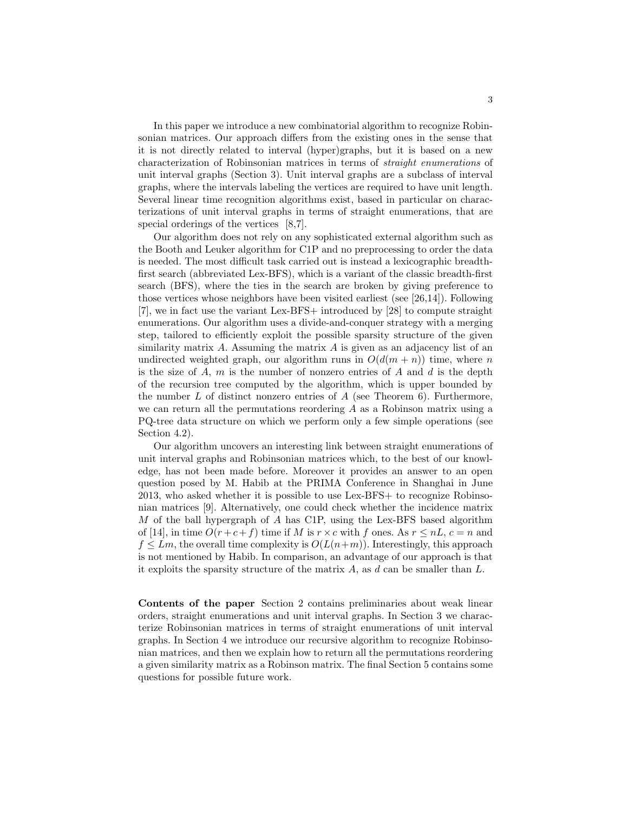In this paper we introduce a new combinatorial algorithm to recognize Robinsonian matrices. Our approach differs from the existing ones in the sense that it is not directly related to interval (hyper)graphs, but it is based on a new characterization of Robinsonian matrices in terms of straight enumerations of unit interval graphs (Section 3). Unit interval graphs are a subclass of interval graphs, where the intervals labeling the vertices are required to have unit length. Several linear time recognition algorithms exist, based in particular on characterizations of unit interval graphs in terms of straight enumerations, that are special orderings of the vertices [8,7].

Our algorithm does not rely on any sophisticated external algorithm such as the Booth and Leuker algorithm for C1P and no preprocessing to order the data is needed. The most difficult task carried out is instead a lexicographic breadthfirst search (abbreviated Lex-BFS), which is a variant of the classic breadth-first search (BFS), where the ties in the search are broken by giving preference to those vertices whose neighbors have been visited earliest (see [26,14]). Following [7], we in fact use the variant Lex-BFS+ introduced by [28] to compute straight enumerations. Our algorithm uses a divide-and-conquer strategy with a merging step, tailored to efficiently exploit the possible sparsity structure of the given similarity matrix  $A$ . Assuming the matrix  $A$  is given as an adjacency list of an undirected weighted graph, our algorithm runs in  $O(d(m + n))$  time, where n is the size of  $A$ ,  $m$  is the number of nonzero entries of  $A$  and  $d$  is the depth of the recursion tree computed by the algorithm, which is upper bounded by the number  $L$  of distinct nonzero entries of  $A$  (see Theorem 6). Furthermore, we can return all the permutations reordering  $A$  as a Robinson matrix using a PQ-tree data structure on which we perform only a few simple operations (see Section 4.2).

Our algorithm uncovers an interesting link between straight enumerations of unit interval graphs and Robinsonian matrices which, to the best of our knowledge, has not been made before. Moreover it provides an answer to an open question posed by M. Habib at the PRIMA Conference in Shanghai in June 2013, who asked whether it is possible to use Lex-BFS+ to recognize Robinsonian matrices [9]. Alternatively, one could check whether the incidence matrix M of the ball hypergraph of A has C1P, using the Lex-BFS based algorithm of [14], in time  $O(r+c+f)$  time if M is  $r \times c$  with f ones. As  $r \leq nL$ ,  $c = n$  and  $f \leq Lm$ , the overall time complexity is  $O(L(n+m))$ . Interestingly, this approach is not mentioned by Habib. In comparison, an advantage of our approach is that it exploits the sparsity structure of the matrix  $A$ , as  $d$  can be smaller than  $L$ .

Contents of the paper Section 2 contains preliminaries about weak linear orders, straight enumerations and unit interval graphs. In Section 3 we characterize Robinsonian matrices in terms of straight enumerations of unit interval graphs. In Section 4 we introduce our recursive algorithm to recognize Robinsonian matrices, and then we explain how to return all the permutations reordering a given similarity matrix as a Robinson matrix. The final Section 5 contains some questions for possible future work.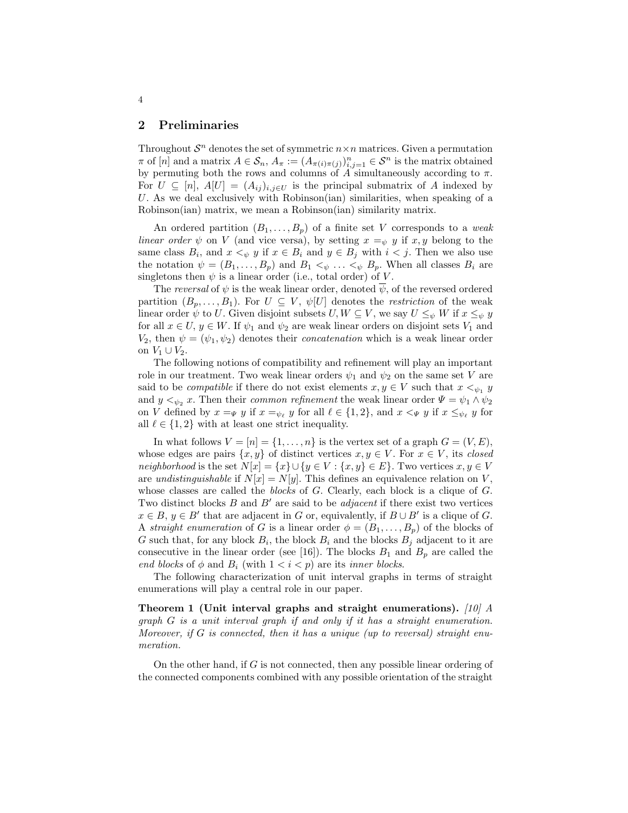## 2 Preliminaries

Throughout  $S<sup>n</sup>$  denotes the set of symmetric  $n \times n$  matrices. Given a permutation  $\pi$  of  $[n]$  and a matrix  $A \in \mathcal{S}_n$ ,  $A_{\pi} := (A_{\pi(i)\pi(j)})_{i,j=1}^n \in \mathcal{S}^n$  is the matrix obtained by permuting both the rows and columns of A simultaneously according to  $\pi$ . For  $U \subseteq [n]$ ,  $A[U] = (A_{ij})_{i,j \in U}$  is the principal submatrix of A indexed by U. As we deal exclusively with Robinson(ian) similarities, when speaking of a Robinson(ian) matrix, we mean a Robinson(ian) similarity matrix.

An ordered partition  $(B_1, \ldots, B_p)$  of a finite set V corresponds to a weak linear order  $\psi$  on V (and vice versa), by setting  $x =_\psi y$  if  $x, y$  belong to the same class  $B_i$ , and  $x \leq_{\psi} y$  if  $x \in B_i$  and  $y \in B_j$  with  $i \leq j$ . Then we also use the notation  $\psi = (B_1, \ldots, B_p)$  and  $B_1 \leq_{\psi} \ldots \leq_{\psi} B_p$ . When all classes  $B_i$  are singletons then  $\psi$  is a linear order (i.e., total order) of V.

The reversal of  $\psi$  is the weak linear order, denoted  $\psi$ , of the reversed ordered partition  $(B_p, \ldots, B_1)$ . For  $U \subseteq V$ ,  $\psi[U]$  denotes the *restriction* of the weak linear order  $\psi$  to U. Given disjoint subsets  $U, W \subseteq V$ , we say  $U \leq_{\psi} W$  if  $x \leq_{\psi} y$ for all  $x \in U$ ,  $y \in W$ . If  $\psi_1$  and  $\psi_2$  are weak linear orders on disjoint sets  $V_1$  and  $V_2$ , then  $\psi = (\psi_1, \psi_2)$  denotes their *concatenation* which is a weak linear order on  $V_1 \cup V_2$ .

The following notions of compatibility and refinement will play an important role in our treatment. Two weak linear orders  $\psi_1$  and  $\psi_2$  on the same set V are said to be *compatible* if there do not exist elements  $x, y \in V$  such that  $x \leq_{\psi_1} y$ and  $y \lt_{\psi_2} x$ . Then their *common refinement* the weak linear order  $\Psi = \psi_1 \wedge \psi_2$ on V defined by  $x =_{\Psi} y$  if  $x =_{\psi_{\ell}} y$  for all  $\ell \in \{1, 2\}$ , and  $x <_{\Psi} y$  if  $x \leq_{\psi_{\ell}} y$  for all  $\ell \in \{1, 2\}$  with at least one strict inequality.

In what follows  $V = [n] = \{1, \ldots, n\}$  is the vertex set of a graph  $G = (V, E)$ , whose edges are pairs  $\{x, y\}$  of distinct vertices  $x, y \in V$ . For  $x \in V$ , its closed neighborhood is the set  $N[x] = \{x\} \cup \{y \in V : \{x, y\} \in E\}$ . Two vertices  $x, y \in V$ are undistinguishable if  $N[x] = N[y]$ . This defines an equivalence relation on V, whose classes are called the *blocks* of G. Clearly, each block is a clique of G. Two distinct blocks  $B$  and  $B'$  are said to be *adjacent* if there exist two vertices  $x \in B$ ,  $y \in B'$  that are adjacent in G or, equivalently, if  $B \cup B'$  is a clique of G. A straight enumeration of G is a linear order  $\phi = (B_1, \ldots, B_p)$  of the blocks of G such that, for any block  $B_i$ , the block  $B_i$  and the blocks  $B_j$  adjacent to it are consecutive in the linear order (see [16]). The blocks  $B_1$  and  $B_p$  are called the end blocks of  $\phi$  and  $B_i$  (with  $1 < i < p$ ) are its *inner blocks*.

The following characterization of unit interval graphs in terms of straight enumerations will play a central role in our paper.

Theorem 1 (Unit interval graphs and straight enumerations). [10] A graph G is a unit interval graph if and only if it has a straight enumeration. Moreover, if G is connected, then it has a unique (up to reversal) straight enumeration.

On the other hand, if G is not connected, then any possible linear ordering of the connected components combined with any possible orientation of the straight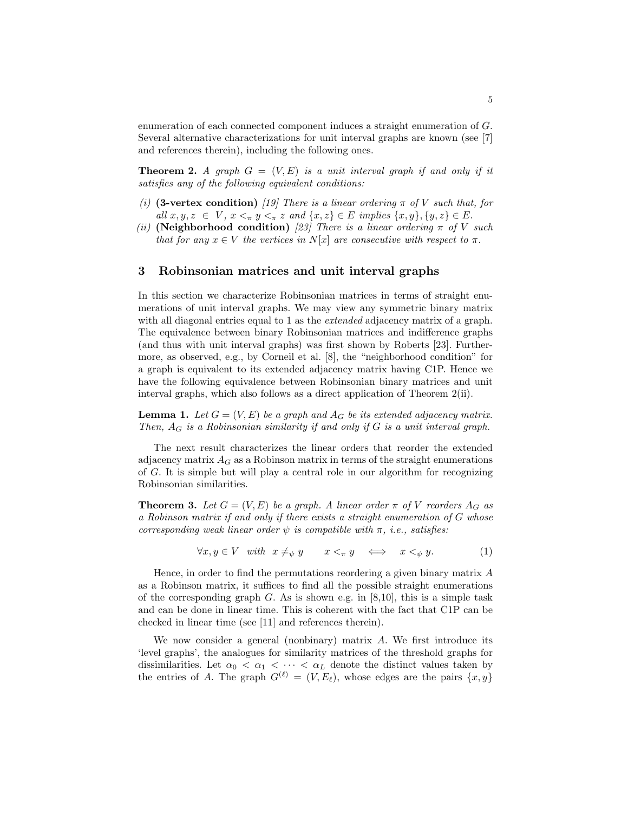enumeration of each connected component induces a straight enumeration of G. Several alternative characterizations for unit interval graphs are known (see [7] and references therein), including the following ones.

**Theorem 2.** A graph  $G = (V, E)$  is a unit interval graph if and only if it satisfies any of the following equivalent conditions:

- (i) (3-vertex condition) [19] There is a linear ordering  $\pi$  of V such that, for all  $x, y, z \in V$ ,  $x \leq_{\pi} y \leq_{\pi} z$  and  $\{x, z\} \in E$  implies  $\{x, y\}$ ,  $\{y, z\} \in E$ .
- (ii) (Neighborhood condition) [23] There is a linear ordering  $\pi$  of V such that for any  $x \in V$  the vertices in  $N[x]$  are consecutive with respect to  $\pi$ .

## 3 Robinsonian matrices and unit interval graphs

In this section we characterize Robinsonian matrices in terms of straight enumerations of unit interval graphs. We may view any symmetric binary matrix with all diagonal entries equal to 1 as the *extended* adjacency matrix of a graph. The equivalence between binary Robinsonian matrices and indifference graphs (and thus with unit interval graphs) was first shown by Roberts [23]. Furthermore, as observed, e.g., by Corneil et al. [8], the "neighborhood condition" for a graph is equivalent to its extended adjacency matrix having C1P. Hence we have the following equivalence between Robinsonian binary matrices and unit interval graphs, which also follows as a direct application of Theorem 2(ii).

**Lemma 1.** Let  $G = (V, E)$  be a graph and  $A_G$  be its extended adjacency matrix. Then,  $A_G$  is a Robinsonian similarity if and only if G is a unit interval graph.

The next result characterizes the linear orders that reorder the extended adjacency matrix  $A_G$  as a Robinson matrix in terms of the straight enumerations of G. It is simple but will play a central role in our algorithm for recognizing Robinsonian similarities.

**Theorem 3.** Let  $G = (V, E)$  be a graph. A linear order  $\pi$  of V reorders  $A_G$  as a Robinson matrix if and only if there exists a straight enumeration of G whose corresponding weak linear order  $\psi$  is compatible with  $\pi$ , i.e., satisfies:

$$
\forall x, y \in V \quad with \quad x \neq_{\psi} y \qquad x <_{\pi} y \quad \Longleftrightarrow \quad x <_{\psi} y. \tag{1}
$$

Hence, in order to find the permutations reordering a given binary matrix A as a Robinson matrix, it suffices to find all the possible straight enumerations of the corresponding graph  $G$ . As is shown e.g. in [8,10], this is a simple task and can be done in linear time. This is coherent with the fact that C1P can be checked in linear time (see [11] and references therein).

We now consider a general (nonbinary) matrix  $A$ . We first introduce its 'level graphs', the analogues for similarity matrices of the threshold graphs for dissimilarities. Let  $\alpha_0 < \alpha_1 < \cdots < \alpha_L$  denote the distinct values taken by the entries of A. The graph  $G^{(\ell)} = (V, E_{\ell})$ , whose edges are the pairs  $\{x, y\}$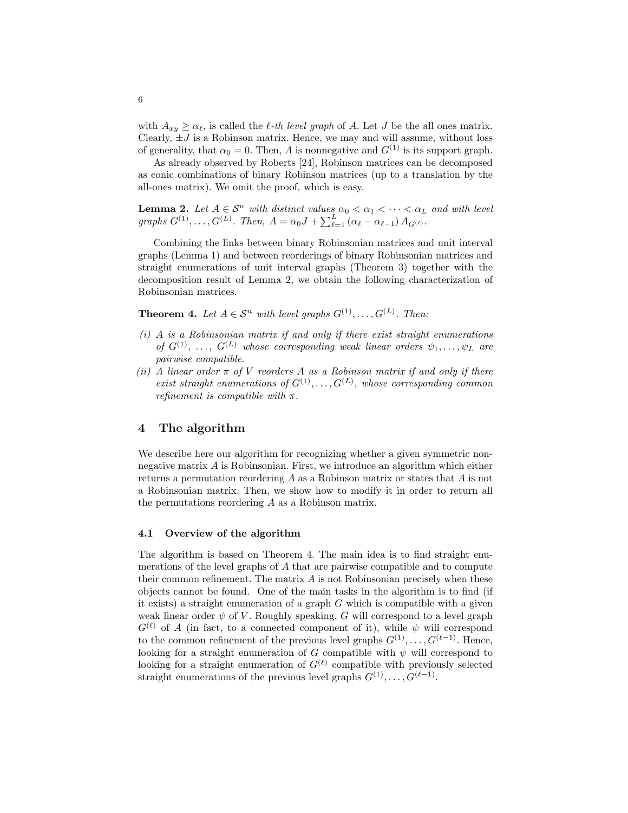with  $A_{xy} \ge \alpha_{\ell}$ , is called the  $\ell$ -th level graph of A. Let J be the all ones matrix. Clearly,  $\pm J$  is a Robinson matrix. Hence, we may and will assume, without loss of generality, that  $\alpha_0 = 0$ . Then, A is nonnegative and  $G^{(1)}$  is its support graph.

As already observed by Roberts [24], Robinson matrices can be decomposed as conic combinations of binary Robinson matrices (up to a translation by the all-ones matrix). We omit the proof, which is easy.

**Lemma 2.** Let  $A \in \mathcal{S}^n$  with distinct values  $\alpha_0 < \alpha_1 < \cdots < \alpha_L$  and with level graphs  $G^{(1)}, \ldots, G^{(L)}$ . Then,  $A = \alpha_0 J + \sum_{\ell=1}^{L} (\alpha_{\ell} - \alpha_{\ell-1}) A_{G^{(\ell)}}$ .

Combining the links between binary Robinsonian matrices and unit interval graphs (Lemma 1) and between reorderings of binary Robinsonian matrices and straight enumerations of unit interval graphs (Theorem 3) together with the decomposition result of Lemma 2, we obtain the following characterization of Robinsonian matrices.

**Theorem 4.** Let  $A \in \mathcal{S}^n$  with level graphs  $G^{(1)}, \ldots, G^{(L)}$ . Then:

- $(i)$  A is a Robinsonian matrix if and only if there exist straight enumerations of  $G^{(1)}, \ldots, G^{(L)}$  whose corresponding weak linear orders  $\psi_1, \ldots, \psi_L$  are pairwise compatible.
- (ii) A linear order  $\pi$  of V reorders A as a Robinson matrix if and only if there exist straight enumerations of  $G^{(1)}, \ldots, G^{(L)}$ , whose corresponding common refinement is compatible with  $\pi$ .

# 4 The algorithm

We describe here our algorithm for recognizing whether a given symmetric nonnegative matrix A is Robinsonian. First, we introduce an algorithm which either returns a permutation reordering A as a Robinson matrix or states that A is not a Robinsonian matrix. Then, we show how to modify it in order to return all the permutations reordering A as a Robinson matrix.

## 4.1 Overview of the algorithm

The algorithm is based on Theorem 4. The main idea is to find straight enumerations of the level graphs of A that are pairwise compatible and to compute their common refinement. The matrix  $A$  is not Robinsonian precisely when these objects cannot be found. One of the main tasks in the algorithm is to find (if it exists) a straight enumeration of a graph  $G$  which is compatible with a given weak linear order  $\psi$  of V. Roughly speaking, G will correspond to a level graph  $G^{(\ell)}$  of A (in fact, to a connected component of it), while  $\psi$  will correspond to the common refinement of the previous level graphs  $G^{(1)}, \ldots, G^{(\ell-1)}$ . Hence, looking for a straight enumeration of G compatible with  $\psi$  will correspond to looking for a straight enumeration of  $G^{(\ell)}$  compatible with previously selected straight enumerations of the previous level graphs  $G^{(1)}, \ldots, G^{(\ell-1)}$ .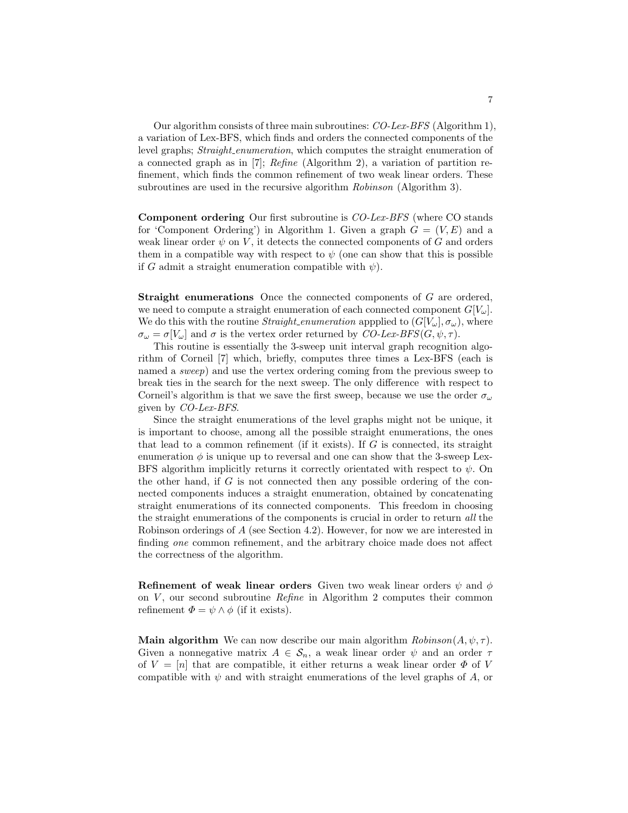Our algorithm consists of three main subroutines: CO-Lex-BFS (Algorithm 1), a variation of Lex-BFS, which finds and orders the connected components of the level graphs; Straight enumeration, which computes the straight enumeration of a connected graph as in [7]; Refine (Algorithm 2), a variation of partition refinement, which finds the common refinement of two weak linear orders. These subroutines are used in the recursive algorithm *Robinson* (Algorithm 3).

Component ordering Our first subroutine is CO-Lex-BFS (where CO stands for 'Component Ordering') in Algorithm 1. Given a graph  $G = (V, E)$  and a weak linear order  $\psi$  on V, it detects the connected components of G and orders them in a compatible way with respect to  $\psi$  (one can show that this is possible if G admit a straight enumeration compatible with  $\psi$ ).

**Straight enumerations** Once the connected components of G are ordered, we need to compute a straight enumeration of each connected component  $G[V_\omega]$ . We do this with the routine *Straight\_enumeration* appplied to  $(G[V_\omega], \sigma_\omega)$ , where  $\sigma_{\omega} = \sigma[V_{\omega}]$  and  $\sigma$  is the vertex order returned by CO-Lex-BFS(G,  $\psi$ ,  $\tau$ ).

This routine is essentially the 3-sweep unit interval graph recognition algorithm of Corneil [7] which, briefly, computes three times a Lex-BFS (each is named a sweep) and use the vertex ordering coming from the previous sweep to break ties in the search for the next sweep. The only difference with respect to Corneil's algorithm is that we save the first sweep, because we use the order  $\sigma_{\omega}$ given by CO-Lex-BFS.

Since the straight enumerations of the level graphs might not be unique, it is important to choose, among all the possible straight enumerations, the ones that lead to a common refinement (if it exists). If  $G$  is connected, its straight enumeration  $\phi$  is unique up to reversal and one can show that the 3-sweep Lex-BFS algorithm implicitly returns it correctly orientated with respect to  $\psi$ . On the other hand, if  $G$  is not connected then any possible ordering of the connected components induces a straight enumeration, obtained by concatenating straight enumerations of its connected components. This freedom in choosing the straight enumerations of the components is crucial in order to return all the Robinson orderings of A (see Section 4.2). However, for now we are interested in finding one common refinement, and the arbitrary choice made does not affect the correctness of the algorithm.

**Refinement of weak linear orders** Given two weak linear orders  $\psi$  and  $\phi$ on  $V$ , our second subroutine *Refine* in Algorithm 2 computes their common refinement  $\Phi = \psi \wedge \phi$  (if it exists).

**Main algorithm** We can now describe our main algorithm  $Robinson(A, \psi, \tau)$ . Given a nonnegative matrix  $A \in \mathcal{S}_n$ , a weak linear order  $\psi$  and an order  $\tau$ of  $V = [n]$  that are compatible, it either returns a weak linear order  $\Phi$  of V compatible with  $\psi$  and with straight enumerations of the level graphs of A, or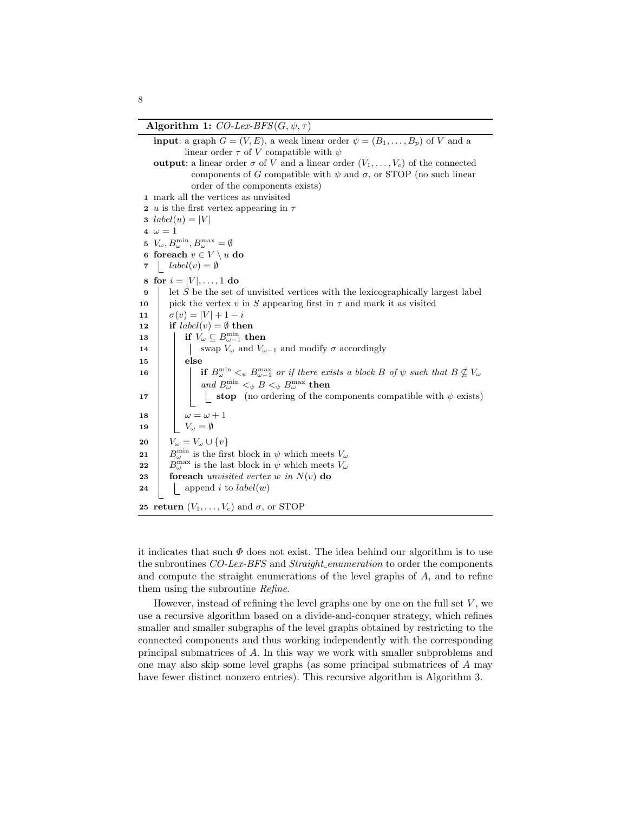Algorithm 1:  $CO$ -Lex-BFS(G,  $\psi$ ,  $\tau$ )

**input:** a graph  $G = (V, E)$ , a weak linear order  $\psi = (B_1, \ldots, B_p)$  of V and a linear order  $\tau$  of V compatible with  $\psi$ output: a linear order  $\sigma$  of V and a linear order  $(V_1, \ldots, V_c)$  of the connected components of G compatible with  $\psi$  and  $\sigma$ , or STOP (no such linear order of the components exists) 1 mark all the vertices as unvisited 2 u is the first vertex appearing in  $\tau$ 3  $label(u) = |V|$ 4  $\omega = 1$ 5  $V_{\omega}, B_{\omega}^{\min}, B_{\omega}^{\max} = \emptyset$ 6 foreach  $v \in V \setminus u$  do 7 |  $label(v) = \emptyset$ 8 for  $i = |V|, \ldots, 1$  do 9 et S be the set of unvisited vertices with the lexicographically largest label 10 pick the vertex v in S appearing first in  $\tau$  and mark it as visited 11  $\sigma(v) = |V| + 1 - i$ 12 if  $label(v) = \emptyset$  then 13  $\parallel$  if  $V_{\omega} \subseteq B^{\min}_{\omega-1}$  then 14 | swap  $V_{\omega}$  and  $V_{\omega-1}$  and modify  $\sigma$  accordingly  $15$  else 16 if  $B_{\omega}^{\min} \leq_{\psi} B_{\omega-1}^{\max}$  or if there exists a block B of  $\psi$  such that  $B \nsubseteq V_{\omega}$ and  $B_{\omega}^{\min} <_{\psi} B <_{\psi} B_{\omega}^{\max}$  then 17  $\vert \vert \vert$  stop (no ordering of the components compatible with  $\psi$  exists) 18 ω = ω + 1 19  $\bigcup V_{\omega} = \emptyset$ 20  $V_\omega = V_\omega \cup \{v\}$ **21** B<sub> $\omega$ </sub> is the first block in  $\psi$  which meets  $V_{\omega}$ **22** B<sup>max</sup> is the last block in  $\psi$  which meets  $V_{\omega}$ 23 foreach unvisited vertex w in  $N(v)$  do 24 | append i to  $label(w)$ 25 return  $(V_1, \ldots, V_c)$  and  $\sigma$ , or STOP

it indicates that such  $\Phi$  does not exist. The idea behind our algorithm is to use the subroutines CO-Lex-BFS and Straight enumeration to order the components and compute the straight enumerations of the level graphs of A, and to refine them using the subroutine Refine.

However, instead of refining the level graphs one by one on the full set  $V$ , we use a recursive algorithm based on a divide-and-conquer strategy, which refines smaller and smaller subgraphs of the level graphs obtained by restricting to the connected components and thus working independently with the corresponding principal submatrices of A. In this way we work with smaller subproblems and one may also skip some level graphs (as some principal submatrices of A may have fewer distinct nonzero entries). This recursive algorithm is Algorithm 3.

8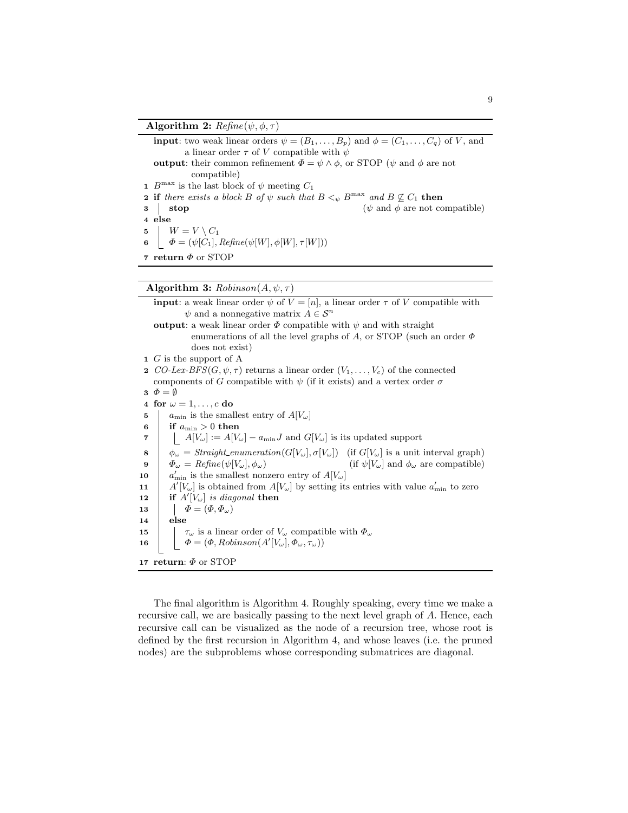#### Algorithm 2:  $Refine(\psi, \phi, \tau)$

**input:** two weak linear orders  $\psi = (B_1, \ldots, B_p)$  and  $\phi = (C_1, \ldots, C_q)$  of V, and a linear order  $\tau$  of V compatible with  $\psi$ 

output: their common refinement  $\Phi = \psi \wedge \phi$ , or STOP ( $\psi$  and  $\phi$  are not compatible)

1  $B^{\text{max}}$  is the last block of  $\psi$  meeting  $C_1$ 

**2** if there exists a block B of  $\psi$  such that  $B \leq_{\psi} B^{\max}$  and  $B \nsubseteq C_1$  then

**3** stop ( $\psi$  and  $\phi$  are not compatible) 4 else

5  $\mid W = V \setminus C_1$ 

$$
\mathbf{6} \quad \boxed{\Phi = (\psi[\stackrel{\cdot}{C_1}], \mathit{Refine}(\psi[W], \phi[W], \tau[W]))}
$$

7 return  $\Phi$  or STOP

## Algorithm 3:  $Robinson(A, \psi, \tau)$

**input:** a weak linear order  $\psi$  of  $V = [n]$ , a linear order  $\tau$  of V compatible with  $\psi$  and a nonnegative matrix  $A \in \mathcal{S}^n$ output: a weak linear order  $\Phi$  compatible with  $\psi$  and with straight enumerations of all the level graphs of A, or STOP (such an order  $\Phi$ does not exist) 1 G is the support of A 2 CO-Lex-BFS( $G, \psi, \tau$ ) returns a linear order  $(V_1, \ldots, V_c)$  of the connected components of G compatible with  $\psi$  (if it exists) and a vertex order  $\sigma$  $3 \Phi = \emptyset$ 4 for  $\omega = 1, \ldots, c$  do 5  $a_{\min}$  is the smallest entry of  $A[V_\omega]$ 6 if  $a_{\min} > 0$  then 7 A[V<sub>ω</sub>] :=  $A[V_\omega] = a_{\min}J$  and  $G[V_\omega]$  is its updated support 8  $\phi_{\omega} = Straight_{\omega} = (G[V_{\omega}], \sigma[V_{\omega}])$  (if  $G[V_{\omega}]$ ) is a unit interval graph) 9  $\phi_{\omega} = \text{Refine}(\psi[V_{\omega}], \phi_{\omega})$  (if  $\psi[V_{\omega}]$  and  $\phi_{\omega}$  are compatible) 10 a  $\eta_{\min}'$  is the smallest nonzero entry of  $A[V_\omega]$  $11$  $\mathcal{O}(V_{\omega})$  is obtained from  $A[V_{\omega}]$  by setting its entries with value  $a'_{\min}$  to zero 12 if  $A'[V_\omega]$  is diagonal then 13  $\phi = (\phi, \phi_\omega)$ 14 else 15  $\left|\right|$   $\tau_{\omega}$  is a linear order of  $V_{\omega}$  compatible with  $\Phi_{\omega}$ 16  $\phi = (\Phi, Robinson(A'[V_\omega], \Phi_\omega, \tau_\omega))$ 17 return:  $\Phi$  or STOP

The final algorithm is Algorithm 4. Roughly speaking, every time we make a recursive call, we are basically passing to the next level graph of A. Hence, each recursive call can be visualized as the node of a recursion tree, whose root is defined by the first recursion in Algorithm 4, and whose leaves (i.e. the pruned nodes) are the subproblems whose corresponding submatrices are diagonal.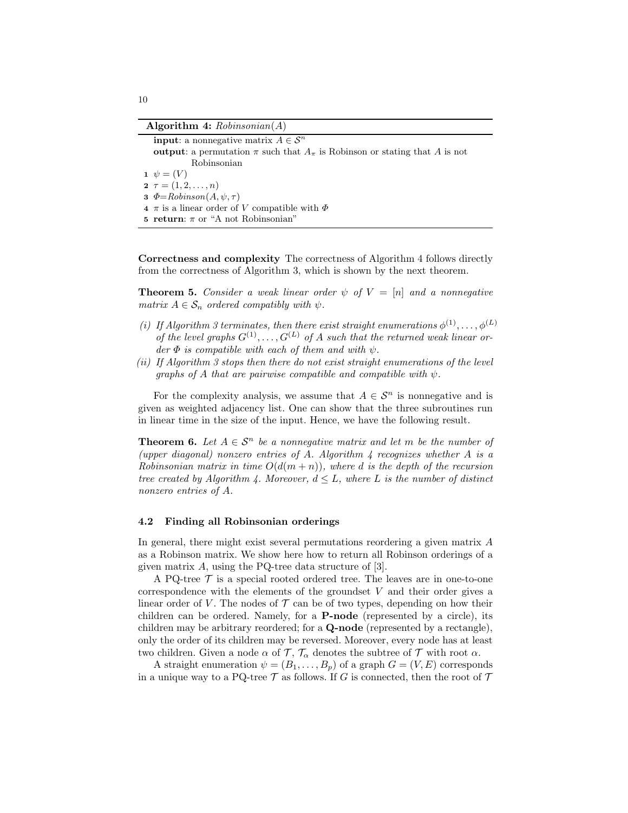Algorithm 4:  $Robinsonian(A)$ 

**input:** a nonnegative matrix  $A \in \mathcal{S}^n$ output: a permutation  $\pi$  such that  $A_{\pi}$  is Robinson or stating that A is not Robinsonian 1  $\psi = (V)$ 2  $\tau = (1, 2, \ldots, n)$ 3  $\Phi = \text{Robinson}(A, \psi, \tau)$ 4  $\pi$  is a linear order of V compatible with  $\Phi$ 5 return:  $\pi$  or "A not Robinsonian"

Correctness and complexity The correctness of Algorithm 4 follows directly from the correctness of Algorithm 3, which is shown by the next theorem.

**Theorem 5.** Consider a weak linear order  $\psi$  of  $V = [n]$  and a nonnegative matrix  $A \in \mathcal{S}_n$  ordered compatibly with  $\psi$ .

- (i) If Algorithm 3 terminates, then there exist straight enumerations  $\phi^{(1)}, \ldots, \phi^{(L)}$ of the level graphs  $G^{(1)}, \ldots, G^{(L)}$  of A such that the returned weak linear order  $\Phi$  is compatible with each of them and with  $\psi$ .
- (ii) If Algorithm 3 stops then there do not exist straight enumerations of the level graphs of A that are pairwise compatible and compatible with  $\psi$ .

For the complexity analysis, we assume that  $A \in \mathcal{S}^n$  is nonnegative and is given as weighted adjacency list. One can show that the three subroutines run in linear time in the size of the input. Hence, we have the following result.

**Theorem 6.** Let  $A \in \mathcal{S}^n$  be a nonnegative matrix and let m be the number of (upper diagonal) nonzero entries of A. Algorithm  $\mu$  recognizes whether A is a Robinsonian matrix in time  $O(d(m+n))$ , where d is the depth of the recursion tree created by Algorithm 4. Moreover,  $d \leq L$ , where L is the number of distinct nonzero entries of A.

## 4.2 Finding all Robinsonian orderings

In general, there might exist several permutations reordering a given matrix A as a Robinson matrix. We show here how to return all Robinson orderings of a given matrix A, using the PQ-tree data structure of [3].

A PQ-tree  $\mathcal T$  is a special rooted ordered tree. The leaves are in one-to-one correspondence with the elements of the groundset  $V$  and their order gives a linear order of V. The nodes of  $\mathcal T$  can be of two types, depending on how their children can be ordered. Namely, for a P-node (represented by a circle), its children may be arbitrary reordered; for a  $\mathbf{Q}\text{-node}$  (represented by a rectangle), only the order of its children may be reversed. Moreover, every node has at least two children. Given a node  $\alpha$  of  $\mathcal{T}, \mathcal{T}_{\alpha}$  denotes the subtree of  $\mathcal{T}$  with root  $\alpha$ .

A straight enumeration  $\psi = (B_1, \ldots, B_p)$  of a graph  $G = (V, E)$  corresponds in a unique way to a PQ-tree  $\mathcal T$  as follows. If G is connected, then the root of  $\mathcal T$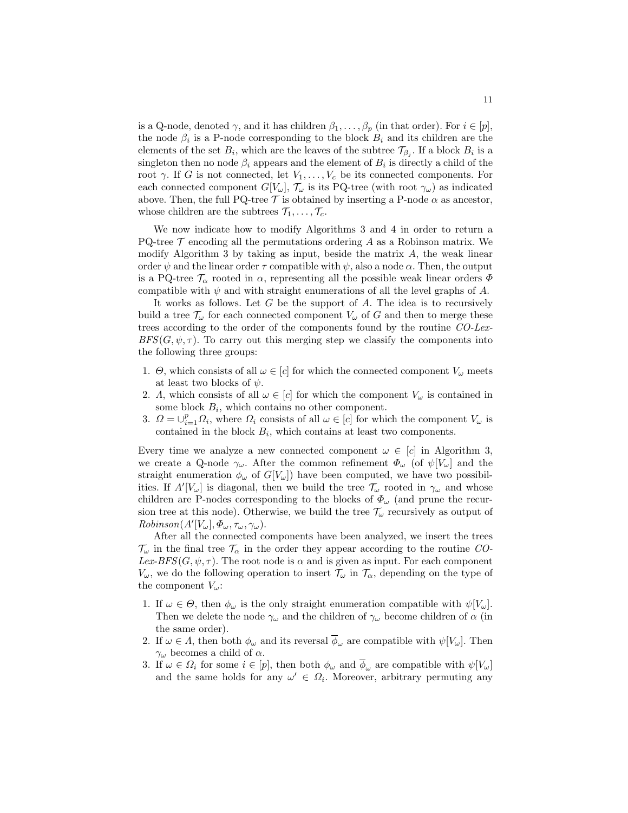is a Q-node, denoted  $\gamma$ , and it has children  $\beta_1, \ldots, \beta_p$  (in that order). For  $i \in [p]$ , the node  $\beta_i$  is a P-node corresponding to the block  $B_i$  and its children are the elements of the set  $B_i$ , which are the leaves of the subtree  $\mathcal{T}_{\beta_j}$ . If a block  $B_i$  is a singleton then no node  $\beta_i$  appears and the element of  $B_i$  is directly a child of the root  $\gamma$ . If G is not connected, let  $V_1, \ldots, V_c$  be its connected components. For each connected component  $G[V_\omega], \mathcal{T}_\omega$  is its PQ-tree (with root  $\gamma_\omega$ ) as indicated above. Then, the full PQ-tree  $\mathcal T$  is obtained by inserting a P-node  $\alpha$  as ancestor, whose children are the subtrees  $\mathcal{T}_1, \ldots, \mathcal{T}_c$ .

We now indicate how to modify Algorithms 3 and 4 in order to return a PQ-tree  $\mathcal T$  encoding all the permutations ordering  $A$  as a Robinson matrix. We modify Algorithm 3 by taking as input, beside the matrix  $A$ , the weak linear order  $\psi$  and the linear order  $\tau$  compatible with  $\psi$ , also a node  $\alpha$ . Then, the output is a PQ-tree  $\mathcal{T}_{\alpha}$  rooted in  $\alpha$ , representing all the possible weak linear orders  $\Phi$ compatible with  $\psi$  and with straight enumerations of all the level graphs of A.

It works as follows. Let  $G$  be the support of  $A$ . The idea is to recursively build a tree  $\mathcal{T}_{\omega}$  for each connected component  $V_{\omega}$  of G and then to merge these trees according to the order of the components found by the routine CO-Lex- $BFS(G, \psi, \tau)$ . To carry out this merging step we classify the components into the following three groups:

- 1.  $\Theta$ , which consists of all  $\omega \in [c]$  for which the connected component  $V_{\omega}$  meets at least two blocks of  $\psi$ .
- 2. A, which consists of all  $\omega \in [c]$  for which the component  $V_{\omega}$  is contained in some block  $B_i$ , which contains no other component.
- 3.  $\Omega = \bigcup_{i=1}^p \Omega_i$ , where  $\Omega_i$  consists of all  $\omega \in [c]$  for which the component  $V_{\omega}$  is contained in the block  $B_i$ , which contains at least two components.

Every time we analyze a new connected component  $\omega \in [c]$  in Algorithm 3, we create a Q-node  $\gamma_{\omega}$ . After the common refinement  $\Phi_{\omega}$  (of  $\psi[V_{\omega}]$  and the straight enumeration  $\phi_{\omega}$  of  $G[V_{\omega}]$  have been computed, we have two possibilities. If  $A'[V_\omega]$  is diagonal, then we build the tree  $\mathcal{T}_\omega$  rooted in  $\gamma_\omega$  and whose children are P-nodes corresponding to the blocks of  $\Phi_{\omega}$  (and prune the recursion tree at this node). Otherwise, we build the tree  $\mathcal{T}_{\omega}$  recursively as output of  $Robinson(A'[V_\omega], \Phi_\omega, \tau_\omega, \gamma_\omega).$ 

After all the connected components have been analyzed, we insert the trees  $\mathcal{T}_{\omega}$  in the final tree  $\mathcal{T}_{\alpha}$  in the order they appear according to the routine CO- $Lex-BFS(G, \psi, \tau)$ . The root node is  $\alpha$  and is given as input. For each component  $V_\omega$ , we do the following operation to insert  $\mathcal{T}_\omega$  in  $\mathcal{T}_\alpha$ , depending on the type of the component  $V_{\omega}$ :

- 1. If  $\omega \in \Theta$ , then  $\phi_{\omega}$  is the only straight enumeration compatible with  $\psi[V_{\omega}]$ . Then we delete the node  $\gamma_{\omega}$  and the children of  $\gamma_{\omega}$  become children of  $\alpha$  (in the same order).
- 2. If  $\omega \in \Lambda$ , then both  $\phi_{\omega}$  and its reversal  $\overline{\phi}_{\omega}$  are compatible with  $\psi[V_{\omega}]$ . Then  $\gamma_\omega$  becomes a child of  $\alpha$ .
- 3. If  $\omega \in \Omega_i$  for some  $i \in [p]$ , then both  $\phi_\omega$  and  $\overline{\phi}_\omega$  are compatible with  $\psi[V_\omega]$ and the same holds for any  $\omega' \in \Omega_i$ . Moreover, arbitrary permuting any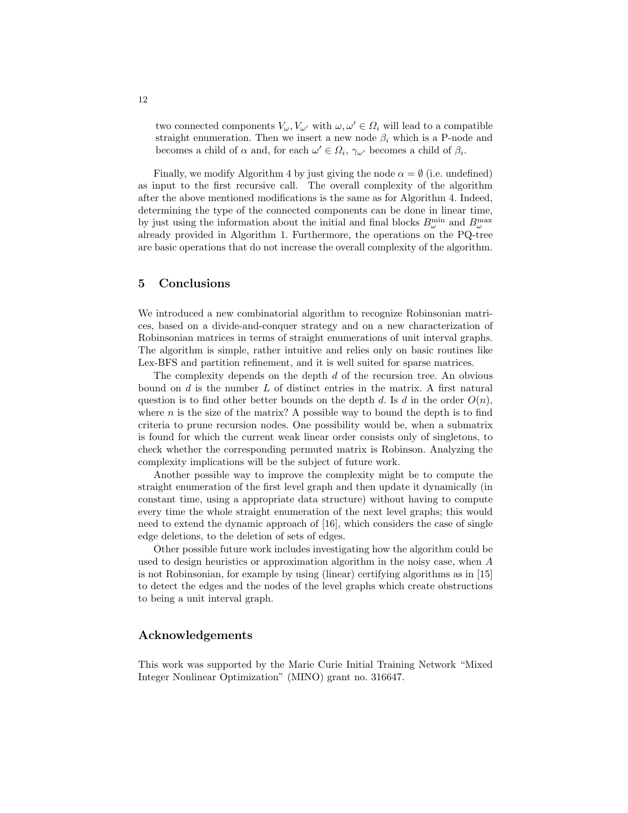two connected components  $V_{\omega}$ ,  $V_{\omega'}$  with  $\omega, \omega' \in \Omega_i$  will lead to a compatible straight enumeration. Then we insert a new node  $\beta_i$  which is a P-node and becomes a child of  $\alpha$  and, for each  $\omega' \in \Omega_i$ ,  $\gamma_{\omega'}$  becomes a child of  $\beta_i$ .

Finally, we modify Algorithm 4 by just giving the node  $\alpha = \emptyset$  (i.e. undefined) as input to the first recursive call. The overall complexity of the algorithm after the above mentioned modifications is the same as for Algorithm 4. Indeed, determining the type of the connected components can be done in linear time, by just using the information about the initial and final blocks  $B_{\omega}^{\min}$  and  $B_{\omega}^{\max}$ already provided in Algorithm 1. Furthermore, the operations on the PQ-tree are basic operations that do not increase the overall complexity of the algorithm.

## 5 Conclusions

We introduced a new combinatorial algorithm to recognize Robinsonian matrices, based on a divide-and-conquer strategy and on a new characterization of Robinsonian matrices in terms of straight enumerations of unit interval graphs. The algorithm is simple, rather intuitive and relies only on basic routines like Lex-BFS and partition refinement, and it is well suited for sparse matrices.

The complexity depends on the depth d of the recursion tree. An obvious bound on  $d$  is the number  $L$  of distinct entries in the matrix. A first natural question is to find other better bounds on the depth d. Is d in the order  $O(n)$ , where  $n$  is the size of the matrix? A possible way to bound the depth is to find criteria to prune recursion nodes. One possibility would be, when a submatrix is found for which the current weak linear order consists only of singletons, to check whether the corresponding permuted matrix is Robinson. Analyzing the complexity implications will be the subject of future work.

Another possible way to improve the complexity might be to compute the straight enumeration of the first level graph and then update it dynamically (in constant time, using a appropriate data structure) without having to compute every time the whole straight enumeration of the next level graphs; this would need to extend the dynamic approach of [16], which considers the case of single edge deletions, to the deletion of sets of edges.

Other possible future work includes investigating how the algorithm could be used to design heuristics or approximation algorithm in the noisy case, when A is not Robinsonian, for example by using (linear) certifying algorithms as in [15] to detect the edges and the nodes of the level graphs which create obstructions to being a unit interval graph.

# Acknowledgements

This work was supported by the Marie Curie Initial Training Network "Mixed Integer Nonlinear Optimization" (MINO) grant no. 316647.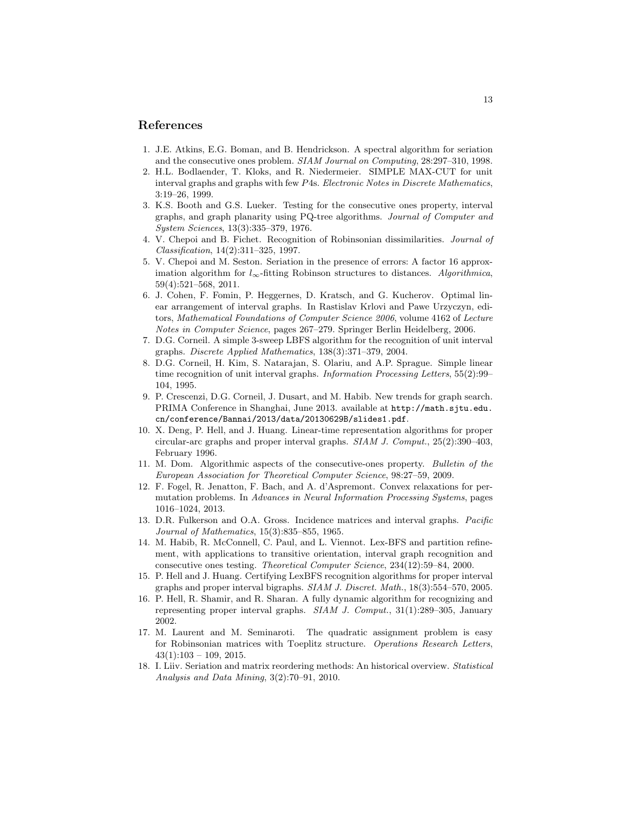## References

- 1. J.E. Atkins, E.G. Boman, and B. Hendrickson. A spectral algorithm for seriation and the consecutive ones problem. SIAM Journal on Computing, 28:297–310, 1998.
- 2. H.L. Bodlaender, T. Kloks, and R. Niedermeier. SIMPLE MAX-CUT for unit interval graphs and graphs with few P4s. Electronic Notes in Discrete Mathematics, 3:19–26, 1999.
- 3. K.S. Booth and G.S. Lueker. Testing for the consecutive ones property, interval graphs, and graph planarity using PQ-tree algorithms. Journal of Computer and System Sciences, 13(3):335–379, 1976.
- 4. V. Chepoi and B. Fichet. Recognition of Robinsonian dissimilarities. Journal of Classification, 14(2):311–325, 1997.
- 5. V. Chepoi and M. Seston. Seriation in the presence of errors: A factor 16 approximation algorithm for  $l_{\infty}$ -fitting Robinson structures to distances. Algorithmica, 59(4):521–568, 2011.
- 6. J. Cohen, F. Fomin, P. Heggernes, D. Kratsch, and G. Kucherov. Optimal linear arrangement of interval graphs. In Rastislav Krlovi and Pawe Urzyczyn, editors, Mathematical Foundations of Computer Science 2006, volume 4162 of Lecture Notes in Computer Science, pages 267–279. Springer Berlin Heidelberg, 2006.
- 7. D.G. Corneil. A simple 3-sweep LBFS algorithm for the recognition of unit interval graphs. Discrete Applied Mathematics, 138(3):371–379, 2004.
- 8. D.G. Corneil, H. Kim, S. Natarajan, S. Olariu, and A.P. Sprague. Simple linear time recognition of unit interval graphs. *Information Processing Letters*, 55(2):99– 104, 1995.
- 9. P. Crescenzi, D.G. Corneil, J. Dusart, and M. Habib. New trends for graph search. PRIMA Conference in Shanghai, June 2013. available at http://math.sjtu.edu. cn/conference/Bannai/2013/data/20130629B/slides1.pdf.
- 10. X. Deng, P. Hell, and J. Huang. Linear-time representation algorithms for proper circular-arc graphs and proper interval graphs.  $SIAM$  J. Comput.,  $25(2):390-403$ , February 1996.
- 11. M. Dom. Algorithmic aspects of the consecutive-ones property. Bulletin of the European Association for Theoretical Computer Science, 98:27–59, 2009.
- 12. F. Fogel, R. Jenatton, F. Bach, and A. d'Aspremont. Convex relaxations for permutation problems. In Advances in Neural Information Processing Systems, pages 1016–1024, 2013.
- 13. D.R. Fulkerson and O.A. Gross. Incidence matrices and interval graphs. Pacific Journal of Mathematics, 15(3):835–855, 1965.
- 14. M. Habib, R. McConnell, C. Paul, and L. Viennot. Lex-BFS and partition refinement, with applications to transitive orientation, interval graph recognition and consecutive ones testing. Theoretical Computer Science, 234(12):59–84, 2000.
- 15. P. Hell and J. Huang. Certifying LexBFS recognition algorithms for proper interval graphs and proper interval bigraphs. SIAM J. Discret. Math., 18(3):554–570, 2005.
- 16. P. Hell, R. Shamir, and R. Sharan. A fully dynamic algorithm for recognizing and representing proper interval graphs. SIAM J. Comput., 31(1):289–305, January 2002.
- 17. M. Laurent and M. Seminaroti. The quadratic assignment problem is easy for Robinsonian matrices with Toeplitz structure. Operations Research Letters,  $43(1):103 - 109$ , 2015.
- 18. I. Liiv. Seriation and matrix reordering methods: An historical overview. Statistical Analysis and Data Mining, 3(2):70–91, 2010.